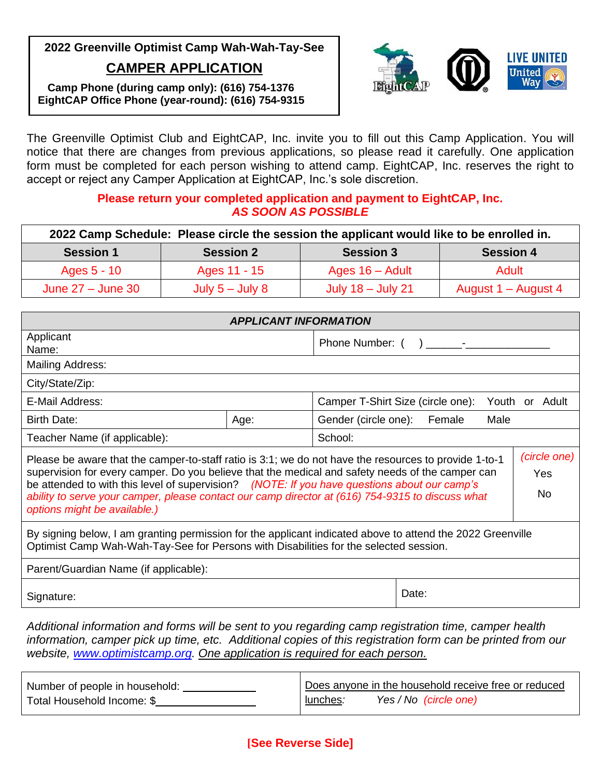

**Camp Phone (during camp only): (616) 754-1376 EightCAP Office Phone (year-round): (616) 754-9315**

The Greenville Optimist Club and EightCAP, Inc. invite you to fill out this Camp Application. You will notice that there are changes from previous applications, so please read it carefully. One application form must be completed for each person wishing to attend camp. EightCAP, Inc. reserves the right to accept or reject any Camper Application at EightCAP, Inc.'s sole discretion.

## **Please return your completed application and payment to EightCAP, Inc.** *AS SOON AS POSSIBLE*

| 2022 Camp Schedule: Please circle the session the applicant would like to be enrolled in. |                   |                     |                     |
|-------------------------------------------------------------------------------------------|-------------------|---------------------|---------------------|
| <b>Session 1</b>                                                                          | <b>Session 2</b>  | <b>Session 3</b>    | <b>Session 4</b>    |
| Ages 5 - 10                                                                               | Ages 11 - 15      | Ages $16 -$ Adult   | Adult               |
| June $27 -$ June 30                                                                       | July $5 -$ July 8 | July $18 -$ July 21 | August 1 – August 4 |

| Applicant<br>Name:                                                                                                                                                                                                                                                                                                                                                                                                                                                                | Phone Number: () -                                  |  |  |  |
|-----------------------------------------------------------------------------------------------------------------------------------------------------------------------------------------------------------------------------------------------------------------------------------------------------------------------------------------------------------------------------------------------------------------------------------------------------------------------------------|-----------------------------------------------------|--|--|--|
|                                                                                                                                                                                                                                                                                                                                                                                                                                                                                   |                                                     |  |  |  |
| Mailing Address:                                                                                                                                                                                                                                                                                                                                                                                                                                                                  |                                                     |  |  |  |
| City/State/Zip:                                                                                                                                                                                                                                                                                                                                                                                                                                                                   |                                                     |  |  |  |
| E-Mail Address:                                                                                                                                                                                                                                                                                                                                                                                                                                                                   | Camper T-Shirt Size (circle one):<br>Youth or Adult |  |  |  |
| <b>Birth Date:</b><br>Gender (circle one):<br>Age:                                                                                                                                                                                                                                                                                                                                                                                                                                | Female<br>Male                                      |  |  |  |
| Teacher Name (if applicable):<br>School:                                                                                                                                                                                                                                                                                                                                                                                                                                          |                                                     |  |  |  |
| (circle one)<br>Please be aware that the camper-to-staff ratio is 3:1; we do not have the resources to provide 1-to-1<br>supervision for every camper. Do you believe that the medical and safety needs of the camper can<br>Yes<br>be attended to with this level of supervision? (NOTE: If you have questions about our camp's<br><b>No</b><br>ability to serve your camper, please contact our camp director at (616) 754-9315 to discuss what<br>options might be available.) |                                                     |  |  |  |
| By signing below, I am granting permission for the applicant indicated above to attend the 2022 Greenville<br>Optimist Camp Wah-Wah-Tay-See for Persons with Disabilities for the selected session.                                                                                                                                                                                                                                                                               |                                                     |  |  |  |
| Parent/Guardian Name (if applicable):                                                                                                                                                                                                                                                                                                                                                                                                                                             |                                                     |  |  |  |
| Signature:                                                                                                                                                                                                                                                                                                                                                                                                                                                                        | Date:                                               |  |  |  |

*Additional information and forms will be sent to you regarding camp registration time, camper health information, camper pick up time, etc. Additional copies of this registration form can be printed from our website, [www.optimistcamp.org.](http://www.optimistcamp.org/) One application is required for each person.*

| Number of people in household: | Does anyone in the household receive free or reduced |
|--------------------------------|------------------------------------------------------|
| Total Household Income: \$     | Yes / No (circle one)<br>lunches:                    |